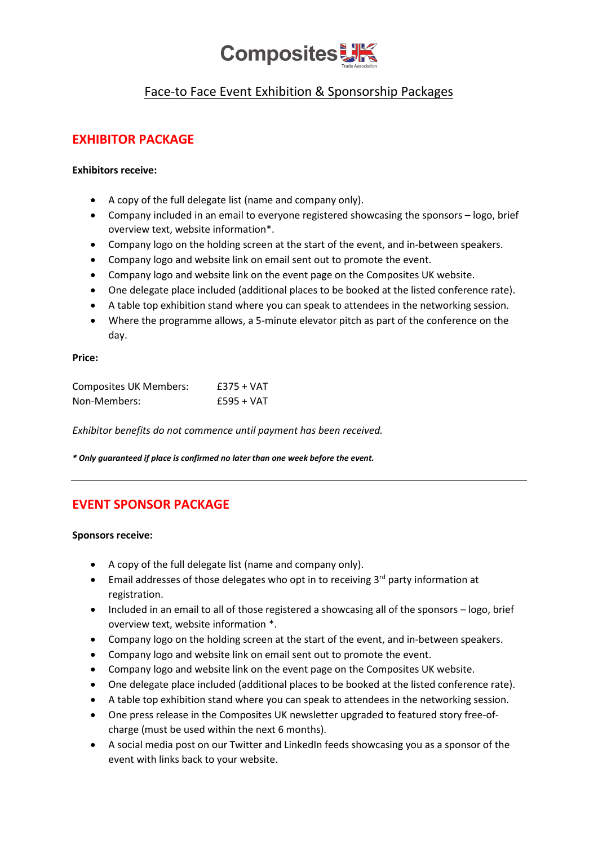

# Face-to Face Event Exhibition & Sponsorship Packages

## **EXHIBITOR PACKAGE**

### **Exhibitors receive:**

- A copy of the full delegate list (name and company only).
- Company included in an email to everyone registered showcasing the sponsors logo, brief overview text, website information\*.
- Company logo on the holding screen at the start of the event, and in-between speakers.
- Company logo and website link on email sent out to promote the event.
- Company logo and website link on the event page on the Composites UK website.
- One delegate place included (additional places to be booked at the listed conference rate).
- A table top exhibition stand where you can speak to attendees in the networking session.
- Where the programme allows, a 5-minute elevator pitch as part of the conference on the day.

#### **Price:**

| <b>Composites UK Members:</b> | $£375 + VAT$ |
|-------------------------------|--------------|
| Non-Members:                  | $£595 + VAT$ |

*Exhibitor benefits do not commence until payment has been received.*

*\* Only guaranteed if place is confirmed no later than one week before the event.*

## **EVENT SPONSOR PACKAGE**

#### **Sponsors receive:**

- A copy of the full delegate list (name and company only).
- Email addresses of those delegates who opt in to receiving  $3<sup>rd</sup>$  party information at registration.
- Included in an email to all of those registered a showcasing all of the sponsors logo, brief overview text, website information \*.
- Company logo on the holding screen at the start of the event, and in-between speakers.
- Company logo and website link on email sent out to promote the event.
- Company logo and website link on the event page on the Composites UK website.
- One delegate place included (additional places to be booked at the listed conference rate).
- A table top exhibition stand where you can speak to attendees in the networking session.
- One press release in the Composites UK newsletter upgraded to featured story free-ofcharge (must be used within the next 6 months).
- A social media post on our Twitter and LinkedIn feeds showcasing you as a sponsor of the event with links back to your website.